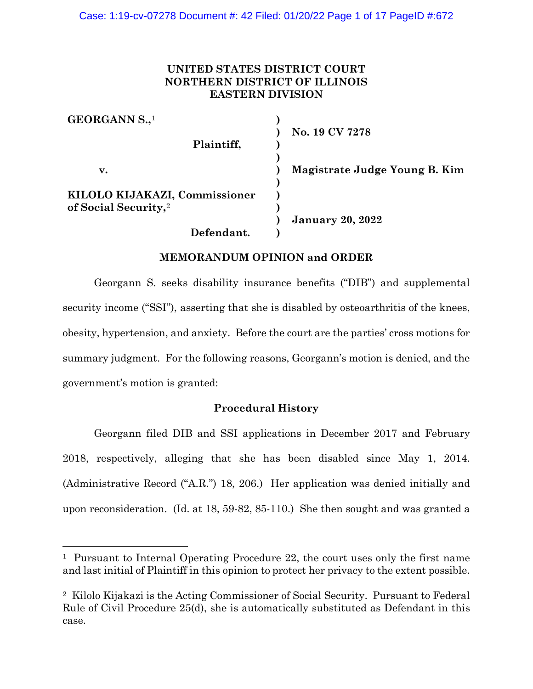# **UNITED STATES DISTRICT COURT NORTHERN DISTRICT OF ILLINOIS EASTERN DIVISION**

| GEORGANN S., <sup>1</sup>        |                               |
|----------------------------------|-------------------------------|
| Plaintiff,                       | No. 19 CV 7278                |
|                                  |                               |
| v.                               | Magistrate Judge Young B. Kim |
| KILOLO KIJAKAZI, Commissioner    |                               |
| of Social Security, <sup>2</sup> |                               |
|                                  | <b>January 20, 2022</b>       |
| Defendant.                       |                               |

# **MEMORANDUM OPINION and ORDER**

Georgann S. seeks disability insurance benefits ("DIB") and supplemental security income ("SSI"), asserting that she is disabled by osteoarthritis of the knees, obesity, hypertension, and anxiety. Before the court are the parties' cross motions for summary judgment. For the following reasons, Georgann's motion is denied, and the government's motion is granted:

# **Procedural History**

Georgann filed DIB and SSI applications in December 2017 and February 2018, respectively, alleging that she has been disabled since May 1, 2014. (Administrative Record ("A.R.") 18, 206.) Her application was denied initially and upon reconsideration. (Id. at 18, 59-82, 85-110.) She then sought and was granted a

<span id="page-0-0"></span><sup>1</sup> Pursuant to Internal Operating Procedure 22, the court uses only the first name and last initial of Plaintiff in this opinion to protect her privacy to the extent possible.

<span id="page-0-1"></span><sup>2</sup> Kilolo Kijakazi is the Acting Commissioner of Social Security. Pursuant to Federal Rule of Civil Procedure 25(d), she is automatically substituted as Defendant in this case.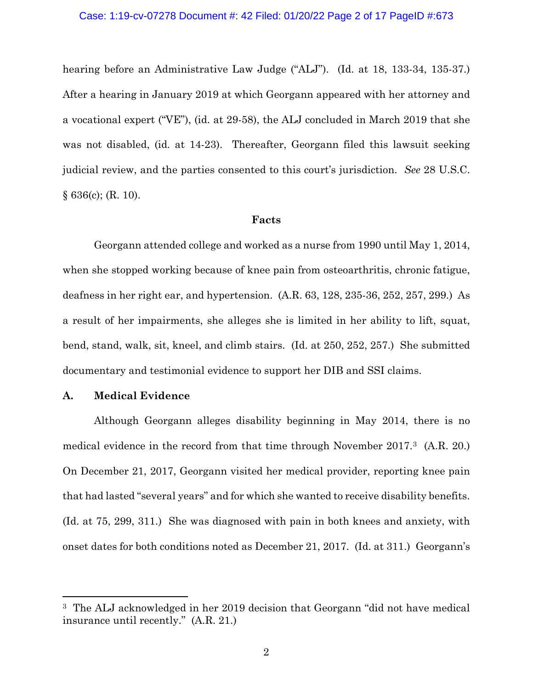# Case: 1:19-cv-07278 Document #: 42 Filed: 01/20/22 Page 2 of 17 PageID #:673

hearing before an Administrative Law Judge ("ALJ"). (Id. at 18, 133-34, 135-37.) After a hearing in January 2019 at which Georgann appeared with her attorney and a vocational expert ("VE"), (id. at 29-58), the ALJ concluded in March 2019 that she was not disabled, (id. at 14-23). Thereafter, Georgann filed this lawsuit seeking judicial review, and the parties consented to this court's jurisdiction. *See* 28 U.S.C.  $§ 636(c); (R. 10).$ 

### **Facts**

Georgann attended college and worked as a nurse from 1990 until May 1, 2014, when she stopped working because of knee pain from osteoarthritis, chronic fatigue, deafness in her right ear, and hypertension. (A.R. 63, 128, 235-36, 252, 257, 299.) As a result of her impairments, she alleges she is limited in her ability to lift, squat, bend, stand, walk, sit, kneel, and climb stairs. (Id. at 250, 252, 257.) She submitted documentary and testimonial evidence to support her DIB and SSI claims.

## **A. Medical Evidence**

Although Georgann alleges disability beginning in May 2014, there is no medical evidence in the record from that time through November 2017[.3](#page-1-0) (A.R. 20.) On December 21, 2017, Georgann visited her medical provider, reporting knee pain that had lasted "several years" and for which she wanted to receive disability benefits. (Id. at 75, 299, 311.) She was diagnosed with pain in both knees and anxiety, with onset dates for both conditions noted as December 21, 2017. (Id. at 311.) Georgann's

<span id="page-1-0"></span><sup>3</sup> The ALJ acknowledged in her 2019 decision that Georgann "did not have medical insurance until recently." (A.R. 21.)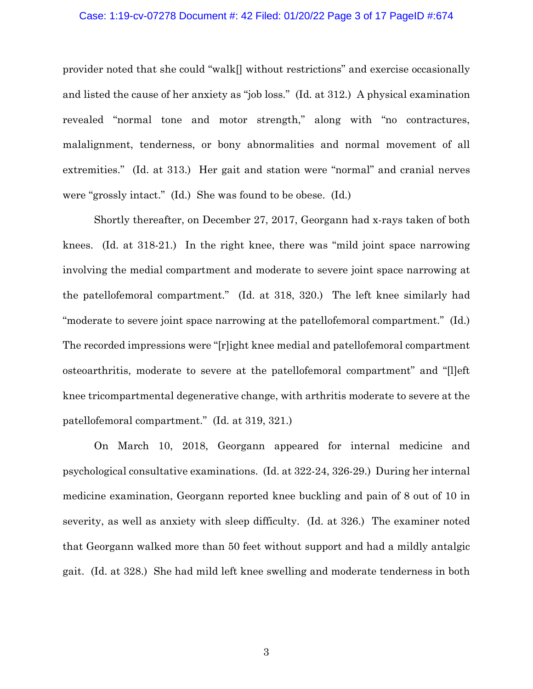## Case: 1:19-cv-07278 Document #: 42 Filed: 01/20/22 Page 3 of 17 PageID #:674

provider noted that she could "walk[] without restrictions" and exercise occasionally and listed the cause of her anxiety as "job loss." (Id. at 312.) A physical examination revealed "normal tone and motor strength," along with "no contractures, malalignment, tenderness, or bony abnormalities and normal movement of all extremities." (Id. at 313.) Her gait and station were "normal" and cranial nerves were "grossly intact." (Id.) She was found to be obese. (Id.)

Shortly thereafter, on December 27, 2017, Georgann had x-rays taken of both knees. (Id. at 318-21.) In the right knee, there was "mild joint space narrowing involving the medial compartment and moderate to severe joint space narrowing at the patellofemoral compartment." (Id. at 318, 320.) The left knee similarly had "moderate to severe joint space narrowing at the patellofemoral compartment." (Id.) The recorded impressions were "[r]ight knee medial and patellofemoral compartment osteoarthritis, moderate to severe at the patellofemoral compartment" and "[l]eft knee tricompartmental degenerative change, with arthritis moderate to severe at the patellofemoral compartment." (Id. at 319, 321.)

On March 10, 2018, Georgann appeared for internal medicine and psychological consultative examinations. (Id. at 322-24, 326-29.) During her internal medicine examination, Georgann reported knee buckling and pain of 8 out of 10 in severity, as well as anxiety with sleep difficulty. (Id. at 326.) The examiner noted that Georgann walked more than 50 feet without support and had a mildly antalgic gait. (Id. at 328.) She had mild left knee swelling and moderate tenderness in both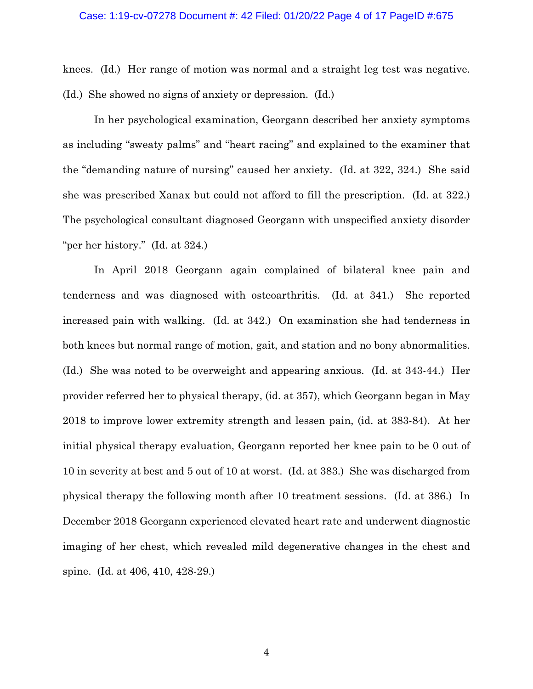## Case: 1:19-cv-07278 Document #: 42 Filed: 01/20/22 Page 4 of 17 PageID #:675

knees. (Id.) Her range of motion was normal and a straight leg test was negative. (Id.) She showed no signs of anxiety or depression. (Id.)

In her psychological examination, Georgann described her anxiety symptoms as including "sweaty palms" and "heart racing" and explained to the examiner that the "demanding nature of nursing" caused her anxiety. (Id. at 322, 324.) She said she was prescribed Xanax but could not afford to fill the prescription. (Id. at 322.) The psychological consultant diagnosed Georgann with unspecified anxiety disorder "per her history." (Id. at 324.)

In April 2018 Georgann again complained of bilateral knee pain and tenderness and was diagnosed with osteoarthritis. (Id. at 341.) She reported increased pain with walking. (Id. at 342.) On examination she had tenderness in both knees but normal range of motion, gait, and station and no bony abnormalities. (Id.) She was noted to be overweight and appearing anxious. (Id. at 343-44.) Her provider referred her to physical therapy, (id. at 357), which Georgann began in May 2018 to improve lower extremity strength and lessen pain, (id. at 383-84). At her initial physical therapy evaluation, Georgann reported her knee pain to be 0 out of 10 in severity at best and 5 out of 10 at worst. (Id. at 383.) She was discharged from physical therapy the following month after 10 treatment sessions. (Id. at 386.) In December 2018 Georgann experienced elevated heart rate and underwent diagnostic imaging of her chest, which revealed mild degenerative changes in the chest and spine. (Id. at 406, 410, 428-29.)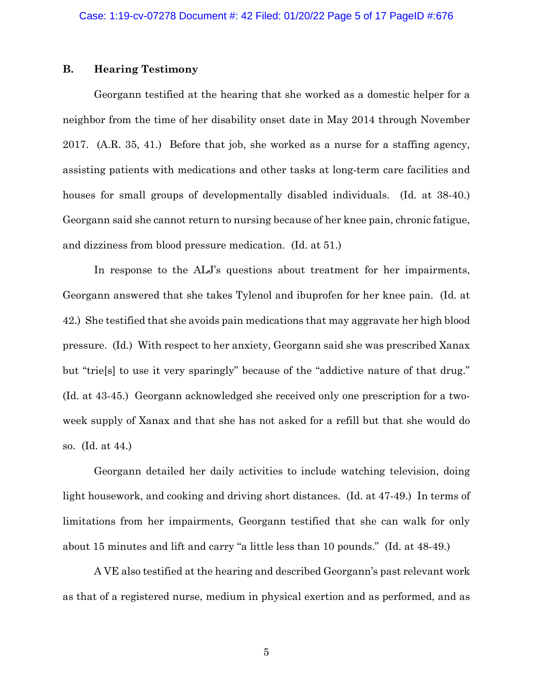# **B. Hearing Testimony**

Georgann testified at the hearing that she worked as a domestic helper for a neighbor from the time of her disability onset date in May 2014 through November 2017. (A.R. 35, 41.) Before that job, she worked as a nurse for a staffing agency, assisting patients with medications and other tasks at long-term care facilities and houses for small groups of developmentally disabled individuals. (Id. at 38-40.) Georgann said she cannot return to nursing because of her knee pain, chronic fatigue, and dizziness from blood pressure medication. (Id. at 51.)

In response to the ALJ's questions about treatment for her impairments, Georgann answered that she takes Tylenol and ibuprofen for her knee pain. (Id. at 42.) She testified that she avoids pain medications that may aggravate her high blood pressure. (Id.) With respect to her anxiety, Georgann said she was prescribed Xanax but "trie[s] to use it very sparingly" because of the "addictive nature of that drug." (Id. at 43-45.) Georgann acknowledged she received only one prescription for a twoweek supply of Xanax and that she has not asked for a refill but that she would do so. (Id. at 44.)

Georgann detailed her daily activities to include watching television, doing light housework, and cooking and driving short distances. (Id. at 47-49.) In terms of limitations from her impairments, Georgann testified that she can walk for only about 15 minutes and lift and carry "a little less than 10 pounds." (Id. at 48-49.)

A VE also testified at the hearing and described Georgann's past relevant work as that of a registered nurse, medium in physical exertion and as performed, and as

5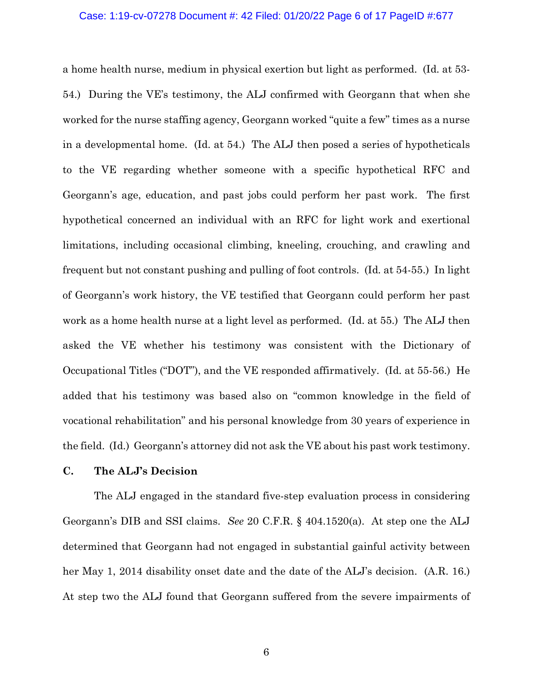## Case: 1:19-cv-07278 Document #: 42 Filed: 01/20/22 Page 6 of 17 PageID #:677

a home health nurse, medium in physical exertion but light as performed. (Id. at 53- 54.) During the VE's testimony, the ALJ confirmed with Georgann that when she worked for the nurse staffing agency, Georgann worked "quite a few" times as a nurse in a developmental home. (Id. at 54.) The ALJ then posed a series of hypotheticals to the VE regarding whether someone with a specific hypothetical RFC and Georgann's age, education, and past jobs could perform her past work. The first hypothetical concerned an individual with an RFC for light work and exertional limitations, including occasional climbing, kneeling, crouching, and crawling and frequent but not constant pushing and pulling of foot controls. (Id. at 54-55.) In light of Georgann's work history, the VE testified that Georgann could perform her past work as a home health nurse at a light level as performed. (Id. at 55.) The ALJ then asked the VE whether his testimony was consistent with the Dictionary of Occupational Titles ("DOT"), and the VE responded affirmatively. (Id. at 55-56.) He added that his testimony was based also on "common knowledge in the field of vocational rehabilitation" and his personal knowledge from 30 years of experience in the field. (Id.) Georgann's attorney did not ask the VE about his past work testimony.

## **C. The ALJ's Decision**

The ALJ engaged in the standard five-step evaluation process in considering Georgann's DIB and SSI claims. *See* 20 C.F.R. § 404.1520(a). At step one the ALJ determined that Georgann had not engaged in substantial gainful activity between her May 1, 2014 disability onset date and the date of the ALJ's decision. (A.R. 16.) At step two the ALJ found that Georgann suffered from the severe impairments of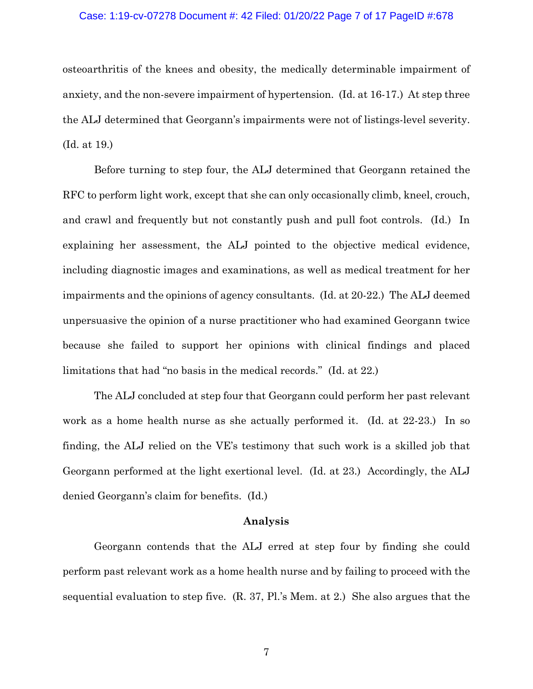## Case: 1:19-cv-07278 Document #: 42 Filed: 01/20/22 Page 7 of 17 PageID #:678

osteoarthritis of the knees and obesity, the medically determinable impairment of anxiety, and the non-severe impairment of hypertension. (Id. at 16-17.) At step three the ALJ determined that Georgann's impairments were not of listings-level severity. (Id. at 19.)

Before turning to step four, the ALJ determined that Georgann retained the RFC to perform light work, except that she can only occasionally climb, kneel, crouch, and crawl and frequently but not constantly push and pull foot controls. (Id.) In explaining her assessment, the ALJ pointed to the objective medical evidence, including diagnostic images and examinations, as well as medical treatment for her impairments and the opinions of agency consultants. (Id. at 20-22.) The ALJ deemed unpersuasive the opinion of a nurse practitioner who had examined Georgann twice because she failed to support her opinions with clinical findings and placed limitations that had "no basis in the medical records." (Id. at 22.)

The ALJ concluded at step four that Georgann could perform her past relevant work as a home health nurse as she actually performed it. (Id. at 22-23.) In so finding, the ALJ relied on the VE's testimony that such work is a skilled job that Georgann performed at the light exertional level. (Id. at 23.) Accordingly, the ALJ denied Georgann's claim for benefits. (Id.)

## **Analysis**

Georgann contends that the ALJ erred at step four by finding she could perform past relevant work as a home health nurse and by failing to proceed with the sequential evaluation to step five. (R. 37, Pl.'s Mem. at 2.) She also argues that the

7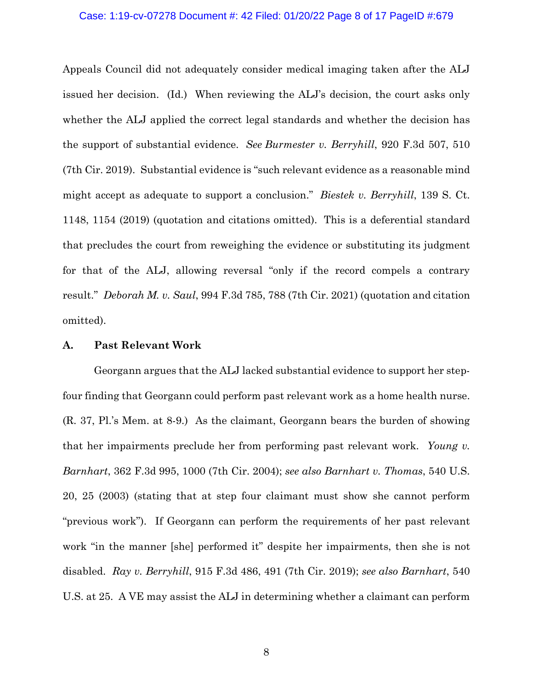## Case: 1:19-cv-07278 Document #: 42 Filed: 01/20/22 Page 8 of 17 PageID #:679

Appeals Council did not adequately consider medical imaging taken after the ALJ issued her decision. (Id.) When reviewing the ALJ's decision, the court asks only whether the ALJ applied the correct legal standards and whether the decision has the support of substantial evidence. *See Burmester v. Berryhill*, 920 F.3d 507, 510 (7th Cir. 2019). Substantial evidence is "such relevant evidence as a reasonable mind might accept as adequate to support a conclusion." *Biestek v. Berryhill*, 139 S. Ct. 1148, 1154 (2019) (quotation and citations omitted). This is a deferential standard that precludes the court from reweighing the evidence or substituting its judgment for that of the ALJ, allowing reversal "only if the record compels a contrary result." *Deborah M. v. Saul*, 994 F.3d 785, 788 (7th Cir. 2021) (quotation and citation omitted).

## **A. Past Relevant Work**

Georgann argues that the ALJ lacked substantial evidence to support her stepfour finding that Georgann could perform past relevant work as a home health nurse. (R. 37, Pl.'s Mem. at 8-9.) As the claimant, Georgann bears the burden of showing that her impairments preclude her from performing past relevant work. *Young v. Barnhart*, 362 F.3d 995, 1000 (7th Cir. 2004); *see also Barnhart v. Thomas*, 540 U.S. 20, 25 (2003) (stating that at step four claimant must show she cannot perform "previous work"). If Georgann can perform the requirements of her past relevant work "in the manner [she] performed it" despite her impairments, then she is not disabled. *Ray v. Berryhill*, 915 F.3d 486, 491 (7th Cir. 2019); *see also Barnhart*, 540 U.S. at 25. A VE may assist the ALJ in determining whether a claimant can perform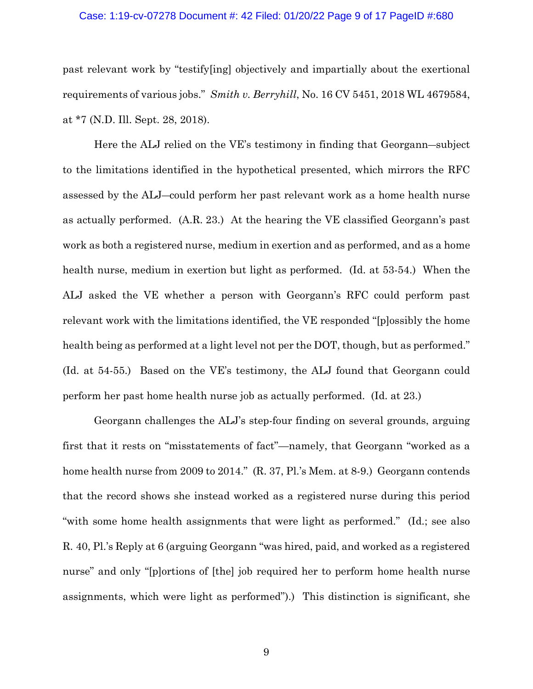## Case: 1:19-cv-07278 Document #: 42 Filed: 01/20/22 Page 9 of 17 PageID #:680

past relevant work by "testify[ing] objectively and impartially about the exertional requirements of various jobs." *Smith v. Berryhill*, No. 16 CV 5451, 2018 WL 4679584, at \*7 (N.D. Ill. Sept. 28, 2018).

Here the ALJ relied on the VE's testimony in finding that Georgann―subject to the limitations identified in the hypothetical presented, which mirrors the RFC assessed by the ALJ―could perform her past relevant work as a home health nurse as actually performed. (A.R. 23.) At the hearing the VE classified Georgann's past work as both a registered nurse, medium in exertion and as performed, and as a home health nurse, medium in exertion but light as performed. (Id. at 53-54.) When the ALJ asked the VE whether a person with Georgann's RFC could perform past relevant work with the limitations identified, the VE responded "[p]ossibly the home health being as performed at a light level not per the DOT, though, but as performed." (Id. at 54-55.) Based on the VE's testimony, the ALJ found that Georgann could perform her past home health nurse job as actually performed. (Id. at 23.)

Georgann challenges the ALJ's step-four finding on several grounds, arguing first that it rests on "misstatements of fact"—namely, that Georgann "worked as a home health nurse from 2009 to 2014." (R. 37, Pl.'s Mem. at 8-9.) Georgann contends that the record shows she instead worked as a registered nurse during this period "with some home health assignments that were light as performed." (Id.; see also R. 40, Pl.'s Reply at 6 (arguing Georgann "was hired, paid, and worked as a registered nurse" and only "[p]ortions of [the] job required her to perform home health nurse assignments, which were light as performed").) This distinction is significant, she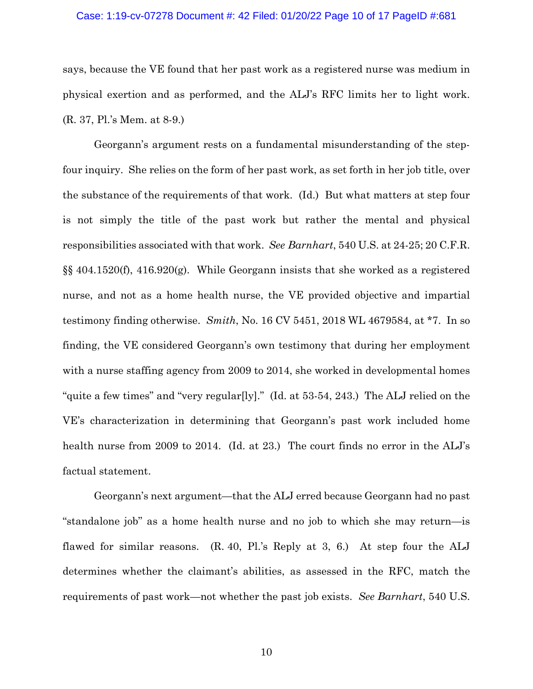#### Case: 1:19-cv-07278 Document #: 42 Filed: 01/20/22 Page 10 of 17 PageID #:681

says, because the VE found that her past work as a registered nurse was medium in physical exertion and as performed, and the ALJ's RFC limits her to light work. (R. 37, Pl.'s Mem. at 8-9.)

Georgann's argument rests on a fundamental misunderstanding of the stepfour inquiry. She relies on the form of her past work, as set forth in her job title, over the substance of the requirements of that work. (Id.) But what matters at step four is not simply the title of the past work but rather the mental and physical responsibilities associated with that work. *See Barnhart*, 540 U.S. at 24-25; 20 C.F.R. §§ 404.1520(f), 416.920(g). While Georgann insists that she worked as a registered nurse, and not as a home health nurse, the VE provided objective and impartial testimony finding otherwise. *Smith*, No. 16 CV 5451, 2018 WL 4679584, at \*7. In so finding, the VE considered Georgann's own testimony that during her employment with a nurse staffing agency from 2009 to 2014, she worked in developmental homes "quite a few times" and "very regular[ly]." (Id. at 53-54, 243.) The ALJ relied on the VE's characterization in determining that Georgann's past work included home health nurse from 2009 to 2014. (Id. at 23.) The court finds no error in the ALJ's factual statement.

Georgann's next argument—that the ALJ erred because Georgann had no past "standalone job" as a home health nurse and no job to which she may return—is flawed for similar reasons. (R. 40, Pl.'s Reply at 3, 6.) At step four the ALJ determines whether the claimant's abilities, as assessed in the RFC, match the requirements of past work—not whether the past job exists. *See Barnhart*, 540 U.S.

10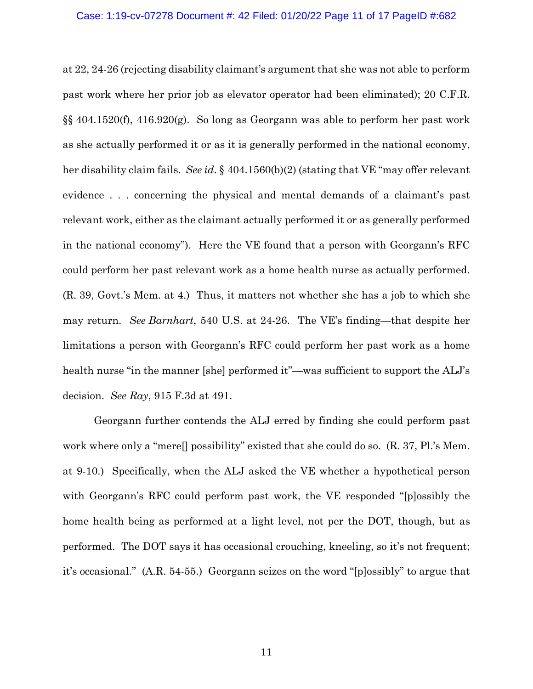#### Case: 1:19-cv-07278 Document #: 42 Filed: 01/20/22 Page 11 of 17 PageID #:682

at 22, 24-26 (rejecting disability claimant's argument that she was not able to perform past work where her prior job as elevator operator had been eliminated); 20 C.F.R. §§ 404.1520(f), 416.920(g). So long as Georgann was able to perform her past work as she actually performed it or as it is generally performed in the national economy, her disability claim fails. *See id*. § 404.1560(b)(2) (stating that VE "may offer relevant evidence . . . concerning the physical and mental demands of a claimant's past relevant work, either as the claimant actually performed it or as generally performed in the national economy"). Here the VE found that a person with Georgann's RFC could perform her past relevant work as a home health nurse as actually performed. (R. 39, Govt.'s Mem. at 4.) Thus, it matters not whether she has a job to which she may return. *See Barnhart*, 540 U.S. at 24-26. The VE's finding—that despite her limitations a person with Georgann's RFC could perform her past work as a home health nurse "in the manner [she] performed it"—was sufficient to support the ALJ's decision. *See Ray*, 915 F.3d at 491.

Georgann further contends the ALJ erred by finding she could perform past work where only a "mere[] possibility" existed that she could do so. (R. 37, Pl.'s Mem. at 9-10.) Specifically, when the ALJ asked the VE whether a hypothetical person with Georgann's RFC could perform past work, the VE responded "[p]ossibly the home health being as performed at a light level, not per the DOT, though, but as performed. The DOT says it has occasional crouching, kneeling, so it's not frequent; it's occasional." (A.R. 54-55.) Georgann seizes on the word "[p]ossibly" to argue that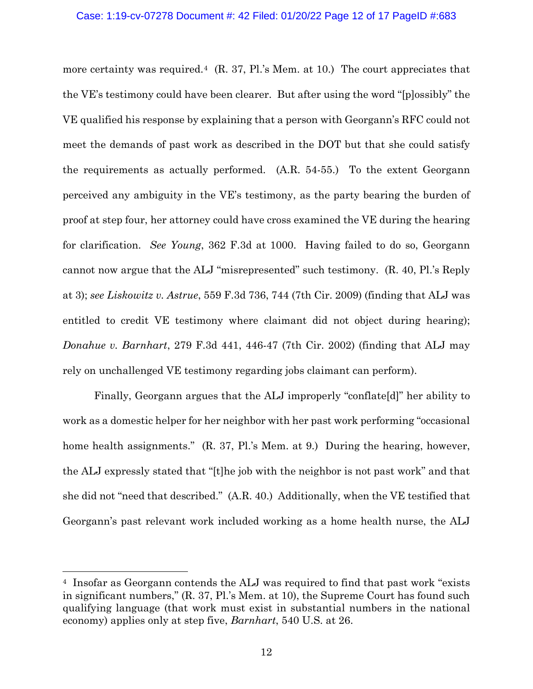# Case: 1:19-cv-07278 Document #: 42 Filed: 01/20/22 Page 12 of 17 PageID #:683

more certainty was required.<sup>[4](#page-11-0)</sup> (R. 37, Pl.'s Mem. at 10.) The court appreciates that the VE's testimony could have been clearer. But after using the word "[p]ossibly" the VE qualified his response by explaining that a person with Georgann's RFC could not meet the demands of past work as described in the DOT but that she could satisfy the requirements as actually performed. (A.R. 54-55.) To the extent Georgann perceived any ambiguity in the VE's testimony, as the party bearing the burden of proof at step four, her attorney could have cross examined the VE during the hearing for clarification. *See Young*, 362 F.3d at 1000. Having failed to do so, Georgann cannot now argue that the ALJ "misrepresented" such testimony. (R. 40, Pl.'s Reply at 3); *see Liskowitz v. Astrue*, 559 F.3d 736, 744 (7th Cir. 2009) (finding that ALJ was entitled to credit VE testimony where claimant did not object during hearing); *Donahue v. Barnhart*, 279 F.3d 441, 446-47 (7th Cir. 2002) (finding that ALJ may rely on unchallenged VE testimony regarding jobs claimant can perform).

Finally, Georgann argues that the ALJ improperly "conflate[d]" her ability to work as a domestic helper for her neighbor with her past work performing "occasional home health assignments." (R. 37, Pl.'s Mem. at 9.) During the hearing, however, the ALJ expressly stated that "[t]he job with the neighbor is not past work" and that she did not "need that described." (A.R. 40.) Additionally, when the VE testified that Georgann's past relevant work included working as a home health nurse, the ALJ

<span id="page-11-0"></span><sup>4</sup> Insofar as Georgann contends the ALJ was required to find that past work "exists in significant numbers," (R. 37, Pl.'s Mem. at 10), the Supreme Court has found such qualifying language (that work must exist in substantial numbers in the national economy) applies only at step five, *Barnhart*, 540 U.S. at 26.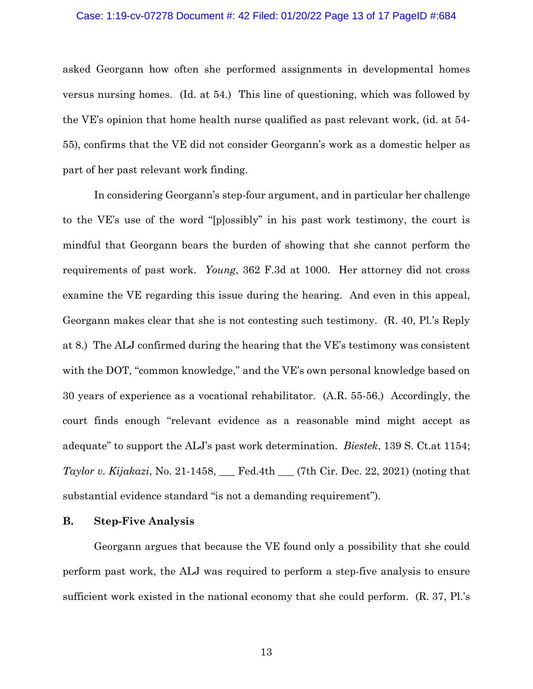#### Case: 1:19-cv-07278 Document #: 42 Filed: 01/20/22 Page 13 of 17 PageID #:684

asked Georgann how often she performed assignments in developmental homes versus nursing homes. (Id. at 54.) This line of questioning, which was followed by the VE's opinion that home health nurse qualified as past relevant work, (id. at 54- 55), confirms that the VE did not consider Georgann's work as a domestic helper as part of her past relevant work finding.

In considering Georgann's step-four argument, and in particular her challenge to the VE's use of the word "[p]ossibly" in his past work testimony, the court is mindful that Georgann bears the burden of showing that she cannot perform the requirements of past work. *Young*, 362 F.3d at 1000. Her attorney did not cross examine the VE regarding this issue during the hearing. And even in this appeal, Georgann makes clear that she is not contesting such testimony. (R. 40, Pl.'s Reply at 8.) The ALJ confirmed during the hearing that the VE's testimony was consistent with the DOT, "common knowledge," and the VE's own personal knowledge based on 30 years of experience as a vocational rehabilitator. (A.R. 55-56.) Accordingly, the court finds enough "relevant evidence as a reasonable mind might accept as adequate" to support the ALJ's past work determination. *Biestek*, 139 S. Ct.at 1154; *Taylor v. Kijakazi*, No. 21-1458, \_\_\_ Fed.4th \_\_\_ (7th Cir. Dec. 22, 2021) (noting that substantial evidence standard "is not a demanding requirement").

## **B. Step-Five Analysis**

Georgann argues that because the VE found only a possibility that she could perform past work, the ALJ was required to perform a step-five analysis to ensure sufficient work existed in the national economy that she could perform. (R. 37, Pl.'s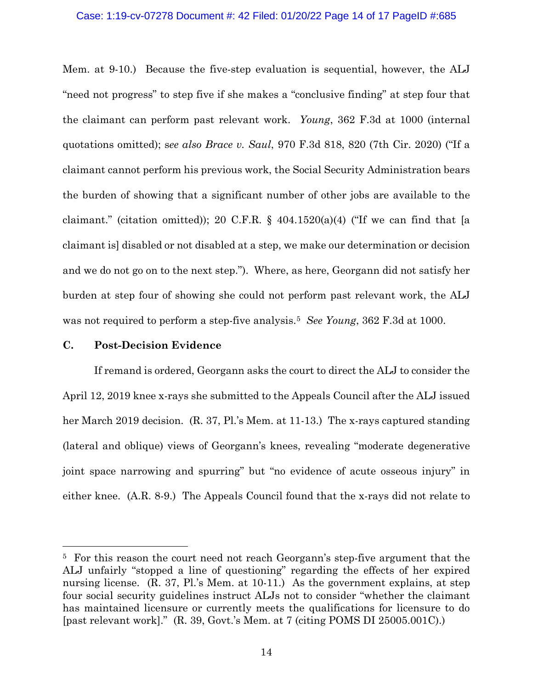### Case: 1:19-cv-07278 Document #: 42 Filed: 01/20/22 Page 14 of 17 PageID #:685

Mem. at 9-10.) Because the five-step evaluation is sequential, however, the ALJ "need not progress" to step five if she makes a "conclusive finding" at step four that the claimant can perform past relevant work. *Young*, 362 F.3d at 1000 (internal quotations omitted); s*ee also Brace v. Saul*, 970 F.3d 818, 820 (7th Cir. 2020) ("If a claimant cannot perform his previous work, the Social Security Administration bears the burden of showing that a significant number of other jobs are available to the claimant." (citation omitted)); 20 C.F.R.  $\S$  404.1520(a)(4) ("If we can find that [a claimant is] disabled or not disabled at a step, we make our determination or decision and we do not go on to the next step."). Where, as here, Georgann did not satisfy her burden at step four of showing she could not perform past relevant work, the ALJ was not required to perform a step-five analysis.[5](#page-13-0) *See Young*, 362 F.3d at 1000.

# **C. Post-Decision Evidence**

If remand is ordered, Georgann asks the court to direct the ALJ to consider the April 12, 2019 knee x-rays she submitted to the Appeals Council after the ALJ issued her March 2019 decision. (R. 37, Pl.'s Mem. at 11-13.) The x-rays captured standing (lateral and oblique) views of Georgann's knees, revealing "moderate degenerative joint space narrowing and spurring" but "no evidence of acute osseous injury" in either knee. (A.R. 8-9.) The Appeals Council found that the x-rays did not relate to

<span id="page-13-0"></span><sup>5</sup> For this reason the court need not reach Georgann's step-five argument that the ALJ unfairly "stopped a line of questioning" regarding the effects of her expired nursing license. (R. 37, Pl.'s Mem. at 10-11.) As the government explains, at step four social security guidelines instruct ALJs not to consider "whether the claimant has maintained licensure or currently meets the qualifications for licensure to do [past relevant work]." (R. 39, Govt.'s Mem. at 7 (citing POMS DI 25005.001C).)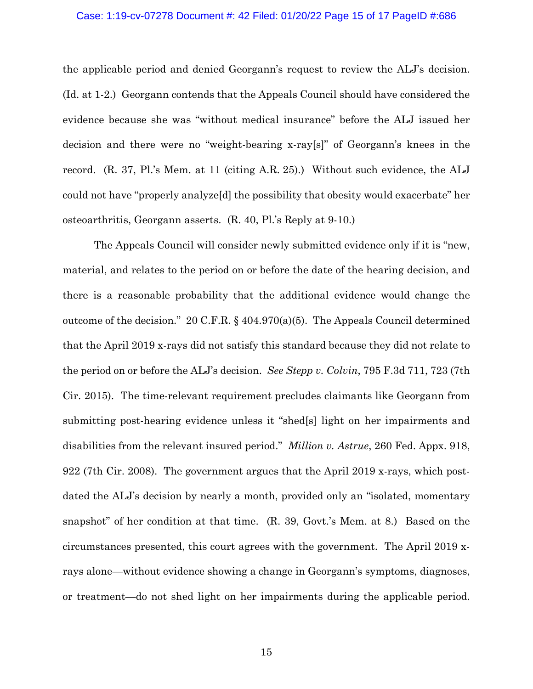## Case: 1:19-cv-07278 Document #: 42 Filed: 01/20/22 Page 15 of 17 PageID #:686

the applicable period and denied Georgann's request to review the ALJ's decision. (Id. at 1-2.) Georgann contends that the Appeals Council should have considered the evidence because she was "without medical insurance" before the ALJ issued her decision and there were no "weight-bearing x-ray[s]" of Georgann's knees in the record. (R. 37, Pl.'s Mem. at 11 (citing A.R. 25).) Without such evidence, the ALJ could not have "properly analyze[d] the possibility that obesity would exacerbate" her osteoarthritis, Georgann asserts. (R. 40, Pl.'s Reply at 9-10.)

The Appeals Council will consider newly submitted evidence only if it is "new, material, and relates to the period on or before the date of the hearing decision, and there is a reasonable probability that the additional evidence would change the outcome of the decision." 20 C.F.R. § 404.970(a)(5). The Appeals Council determined that the April 2019 x-rays did not satisfy this standard because they did not relate to the period on or before the ALJ's decision. *See Stepp v. Colvin*, 795 F.3d 711, 723 (7th Cir. 2015). The time-relevant requirement precludes claimants like Georgann from submitting post-hearing evidence unless it "shed[s] light on her impairments and disabilities from the relevant insured period." *Million v. Astrue*, 260 Fed. Appx. 918, 922 (7th Cir. 2008). The government argues that the April 2019 x-rays, which postdated the ALJ's decision by nearly a month, provided only an "isolated, momentary snapshot" of her condition at that time. (R. 39, Govt.'s Mem. at 8.) Based on the circumstances presented, this court agrees with the government. The April 2019 xrays alone—without evidence showing a change in Georgann's symptoms, diagnoses, or treatment—do not shed light on her impairments during the applicable period.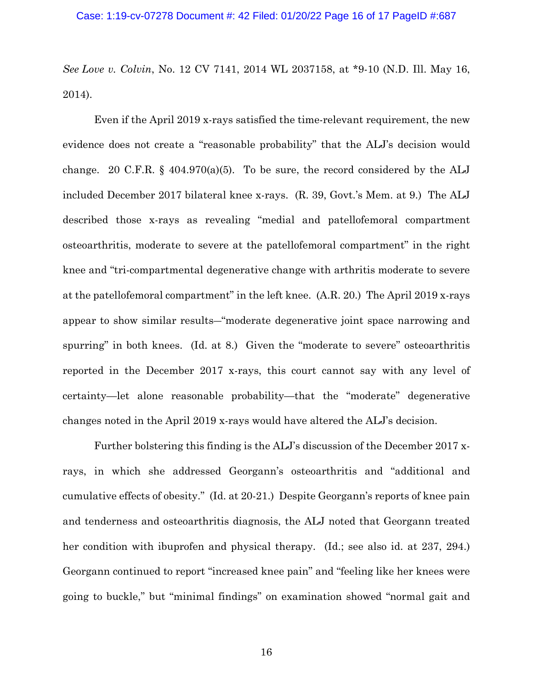*See Love v. Colvin*, No. 12 CV 7141, 2014 WL 2037158, at \*9-10 (N.D. Ill. May 16, 2014).

Even if the April 2019 x-rays satisfied the time-relevant requirement, the new evidence does not create a "reasonable probability" that the ALJ's decision would change. 20 C.F.R.  $\S$  404.970(a)(5). To be sure, the record considered by the ALJ included December 2017 bilateral knee x-rays. (R. 39, Govt.'s Mem. at 9.) The ALJ described those x-rays as revealing "medial and patellofemoral compartment osteoarthritis, moderate to severe at the patellofemoral compartment" in the right knee and "tri-compartmental degenerative change with arthritis moderate to severe at the patellofemoral compartment" in the left knee. (A.R. 20.) The April 2019 x-rays appear to show similar results―"moderate degenerative joint space narrowing and spurring" in both knees. (Id. at 8.) Given the "moderate to severe" osteoarthritis reported in the December 2017 x-rays, this court cannot say with any level of certainty—let alone reasonable probability—that the "moderate" degenerative changes noted in the April 2019 x-rays would have altered the ALJ's decision.

Further bolstering this finding is the ALJ's discussion of the December 2017 xrays, in which she addressed Georgann's osteoarthritis and "additional and cumulative effects of obesity." (Id. at 20-21.) Despite Georgann's reports of knee pain and tenderness and osteoarthritis diagnosis, the ALJ noted that Georgann treated her condition with ibuprofen and physical therapy. (Id.; see also id. at 237, 294.) Georgann continued to report "increased knee pain" and "feeling like her knees were going to buckle," but "minimal findings" on examination showed "normal gait and